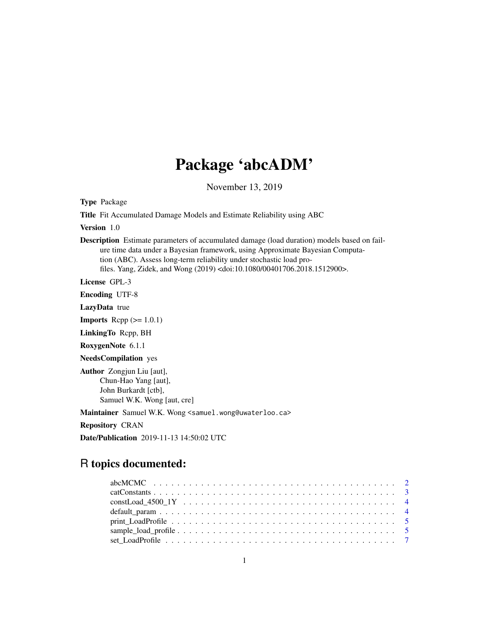# Package 'abcADM'

November 13, 2019

Type Package

Title Fit Accumulated Damage Models and Estimate Reliability using ABC

Version 1.0

Description Estimate parameters of accumulated damage (load duration) models based on failure time data under a Bayesian framework, using Approximate Bayesian Computation (ABC). Assess long-term reliability under stochastic load profiles. Yang, Zidek, and Wong (2019) <doi:10.1080/00401706.2018.1512900>.

License GPL-3

Encoding UTF-8

LazyData true

**Imports** Rcpp  $(>= 1.0.1)$ 

LinkingTo Rcpp, BH

RoxygenNote 6.1.1

NeedsCompilation yes

Author Zongjun Liu [aut], Chun-Hao Yang [aut], John Burkardt [ctb], Samuel W.K. Wong [aut, cre]

Maintainer Samuel W.K. Wong <samuel.wong@uwaterloo.ca>

Repository CRAN

Date/Publication 2019-11-13 14:50:02 UTC

# R topics documented: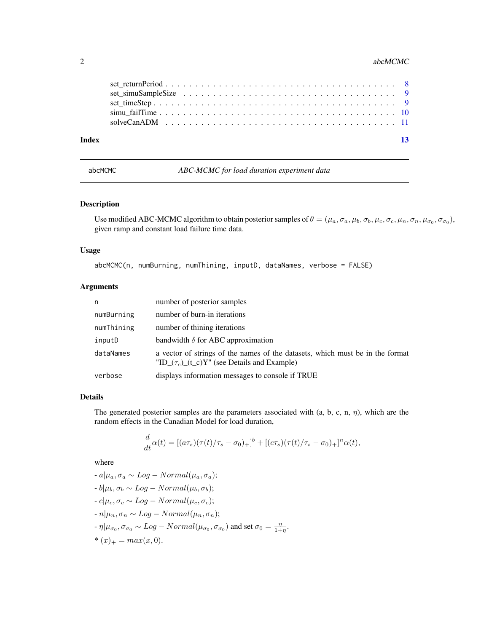#### <span id="page-1-0"></span>2 abcMCMC and  $\alpha$  abcMCMC abcMCMC abcMCMC abcMCMC abcMCMC abcMCMC abcMCMC abcMCMC abcMCMC abcMCMC abcMCMC abcMCMC abcMCMC abcMCMC abcMCMC abcMCMC abcMCMC abcMCMC abcMCMC abcMCMC abcMCMC abcMCMC abcMCMC abcMCMC abcMCMC abc

| Index |  |  |  |  |  |  |  |  |  |  |  |  |  |  |  | -13 |  |
|-------|--|--|--|--|--|--|--|--|--|--|--|--|--|--|--|-----|--|

<span id="page-1-1"></span>abcMCMC *ABC-MCMC for load duration experiment data*

### Description

Use modified ABC-MCMC algorithm to obtain posterior samples of  $\theta = (\mu_a, \sigma_a, \mu_b, \sigma_b, \mu_c, \sigma_c, \mu_n, \sigma_n, \mu_{\sigma_0}, \sigma_{\sigma_0}),$ given ramp and constant load failure time data.

# Usage

abcMCMC(n, numBurning, numThining, inputD, dataNames, verbose = FALSE)

# Arguments

| n          | number of posterior samples                                                                                                         |
|------------|-------------------------------------------------------------------------------------------------------------------------------------|
| numBurning | number of burn-in iterations                                                                                                        |
| numThining | number of thining iterations                                                                                                        |
| inputD     | bandwidth $\delta$ for ABC approximation                                                                                            |
| dataNames  | a vector of strings of the names of the datasets, which must be in the format<br>"ID_ $(\tau_c)$ _(t_c)Y" (see Details and Example) |
| verbose    | displays information messages to console if TRUE                                                                                    |

# Details

The generated posterior samples are the parameters associated with  $(a, b, c, n, \eta)$ , which are the random effects in the Canadian Model for load duration,

$$
\frac{d}{dt}\alpha(t)=[(a\tau_s)(\tau(t)/\tau_s-\sigma_0)_+]^b+[(c\tau_s)(\tau(t)/\tau_s-\sigma_0)_+]^n\alpha(t),
$$

where

d

$$
-a|\mu_a, \sigma_a \sim Log - Normal(\mu_a, \sigma_a);
$$
  
\n
$$
-b|\mu_b, \sigma_b \sim Log - Normal(\mu_b, \sigma_b);
$$
  
\n
$$
-c|\mu_c, \sigma_c \sim Log - Normal(\mu_c, \sigma_c);
$$
  
\n
$$
-n|\mu_n, \sigma_n \sim Log - Normal(\mu_n, \sigma_n);
$$
  
\n
$$
-\eta|\mu_{\sigma_0}, \sigma_{\sigma_0} \sim Log - Normal(\mu_{\sigma_0}, \sigma_{\sigma_0}) \text{ and set } \sigma_0 = \frac{\eta}{1+\eta}.
$$
  
\n
$$
*(x)_+ = max(x, 0).
$$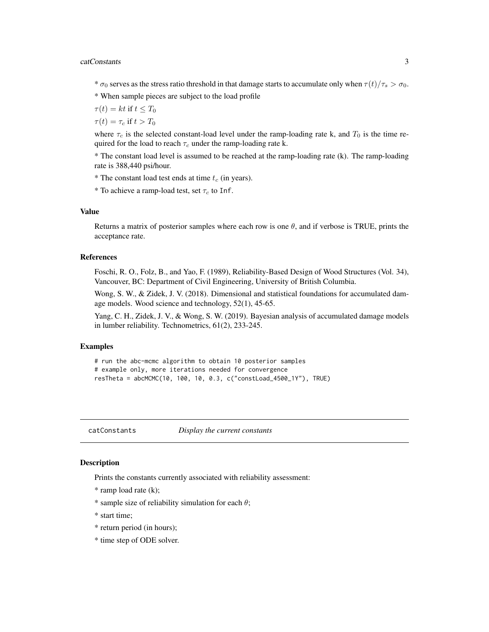#### <span id="page-2-0"></span>catConstants 3

\*  $\sigma_0$  serves as the stress ratio threshold in that damage starts to accumulate only when  $\tau(t)/\tau_s > \sigma_0$ .

\* When sample pieces are subject to the load profile

 $\tau(t) = kt$  if  $t \leq T_0$ 

 $\tau(t) = \tau_c$  if  $t > T_0$ 

where  $\tau_c$  is the selected constant-load level under the ramp-loading rate k, and  $T_0$  is the time required for the load to reach  $\tau_c$  under the ramp-loading rate k.

\* The constant load level is assumed to be reached at the ramp-loading rate (k). The ramp-loading rate is 388,440 psi/hour.

\* The constant load test ends at time  $t_c$  (in years).

\* To achieve a ramp-load test, set  $\tau_c$  to Inf.

# Value

Returns a matrix of posterior samples where each row is one  $\theta$ , and if verbose is TRUE, prints the acceptance rate.

### References

Foschi, R. O., Folz, B., and Yao, F. (1989), Reliability-Based Design of Wood Structures (Vol. 34), Vancouver, BC: Department of Civil Engineering, University of British Columbia.

Wong, S. W., & Zidek, J. V. (2018). Dimensional and statistical foundations for accumulated damage models. Wood science and technology, 52(1), 45-65.

Yang, C. H., Zidek, J. V., & Wong, S. W. (2019). Bayesian analysis of accumulated damage models in lumber reliability. Technometrics, 61(2), 233-245.

# Examples

```
# run the abc-mcmc algorithm to obtain 10 posterior samples
# example only, more iterations needed for convergence
resTheta = abcMCMC(10, 100, 10, 0.3, c("constLoad_4500_1Y"), TRUE)
```
catConstants *Display the current constants*

#### Description

Prints the constants currently associated with reliability assessment:

\* ramp load rate (k);

- \* sample size of reliability simulation for each  $\theta$ ;
- \* start time;
- \* return period (in hours);
- \* time step of ODE solver.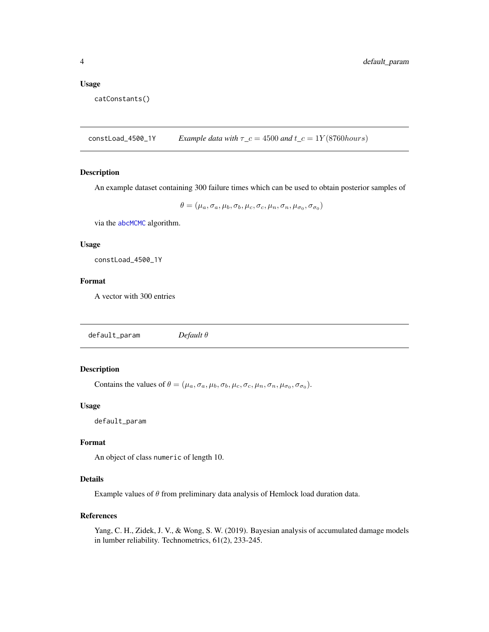#### <span id="page-3-0"></span>Usage

catConstants()

constLoad\_4500\_1Y *Example data with*  $\tau_c = 4500$  *and*  $t_c = 1Y(8760 hours)$ 

#### Description

An example dataset containing 300 failure times which can be used to obtain posterior samples of

 $\theta = (\mu_a, \sigma_a, \mu_b, \sigma_b, \mu_c, \sigma_c, \mu_n, \sigma_n, \mu_{\sigma_0}, \sigma_{\sigma_0})$ 

via the [abcMCMC](#page-1-1) algorithm.

# Usage

constLoad\_4500\_1Y

# Format

A vector with 300 entries

<span id="page-3-1"></span>default\_param *Default* θ

# Description

Contains the values of  $\theta = (\mu_a, \sigma_a, \mu_b, \sigma_b, \mu_c, \sigma_c, \mu_n, \sigma_n, \mu_{\sigma_0}, \sigma_{\sigma_0}).$ 

#### Usage

default\_param

# Format

An object of class numeric of length 10.

# Details

Example values of  $\theta$  from preliminary data analysis of Hemlock load duration data.

#### References

Yang, C. H., Zidek, J. V., & Wong, S. W. (2019). Bayesian analysis of accumulated damage models in lumber reliability. Technometrics, 61(2), 233-245.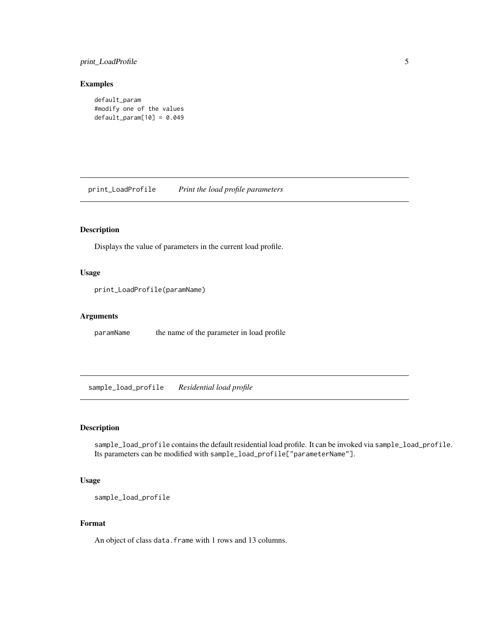# <span id="page-4-0"></span>print\_LoadProfile 5

#### Examples

```
default_param
#modify one of the values
default\_param[10] = 0.049
```
print\_LoadProfile *Print the load profile parameters*

# Description

Displays the value of parameters in the current load profile.

# Usage

print\_LoadProfile(paramName)

# Arguments

paramName the name of the parameter in load profile

<span id="page-4-1"></span>sample\_load\_profile *Residential load profile*

# Description

sample\_load\_profile contains the default residential load profile. It can be invoked via sample\_load\_profile. Its parameters can be modified with sample\_load\_profile["parameterName"].

### Usage

```
sample_load_profile
```
# Format

An object of class data. frame with 1 rows and 13 columns.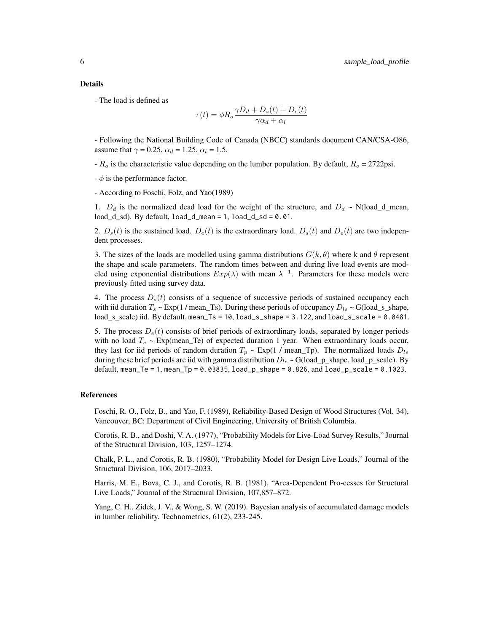- The load is defined as

$$
\tau(t) = \phi R_o \frac{\gamma D_d + D_s(t) + D_e(t)}{\gamma \alpha_d + \alpha_l}
$$

- Following the National Building Code of Canada (NBCC) standards document CAN/CSA-O86, assume that  $\gamma = 0.25$ ,  $\alpha_d = 1.25$ ,  $\alpha_l = 1.5$ .

 $-R<sub>o</sub>$  is the characteristic value depending on the lumber population. By default,  $R<sub>o</sub> = 2722$ psi.

 $-\phi$  is the performance factor.

- According to Foschi, Folz, and Yao(1989)

1.  $D_d$  is the normalized dead load for the weight of the structure, and  $D_d \sim N(\text{load\_d\_mean},$ load d sd). By default,  $load_d_mean = 1$ ,  $load_d_s = 0.01$ .

2.  $D_s(t)$  is the sustained load.  $D_e(t)$  is the extraordinary load.  $D_s(t)$  and  $D_e(t)$  are two independent processes.

3. The sizes of the loads are modelled using gamma distributions  $G(k, \theta)$  where k and  $\theta$  represent the shape and scale parameters. The random times between and during live load events are modeled using exponential distributions  $Exp(\lambda)$  with mean  $\lambda^{-1}$ . Parameters for these models were previously fitted using survey data.

4. The process  $D_s(t)$  consists of a sequence of successive periods of sustained occupancy each with iid duration  $T_s \sim \text{Exp}(1/\text{mean}\text{-}\text{Ts})$ . During these periods of occupancy  $D_{ls} \sim G(\text{load}\text{-}s\text{-}shape)$ ,  $load_s$ \_scale) iid. By default, mean\_Ts = 10,  $load_s$ \_shape = 3.122, and  $load_s$ \_scale = 0.0481.

5. The process  $D_e(t)$  consists of brief periods of extraordinary loads, separated by longer periods with no load  $T_e \sim \text{Exp}(\text{mean\_Te})$  of expected duration 1 year. When extraordinary loads occur, they last for iid periods of random duration  $T_p \sim \text{Exp}(1 / \text{mean\_Tp})$ . The normalized loads  $D_{le}$ during these brief periods are iid with gamma distribution  $D_{le} \sim G(\text{load\_p\_shape}, \text{load\_p\_scale})$ . By default, mean\_Te = 1, mean\_Tp =  $0.03835$ , load\_p\_shape =  $0.826$ , and load\_p\_scale =  $0.1023$ .

#### References

Foschi, R. O., Folz, B., and Yao, F. (1989), Reliability-Based Design of Wood Structures (Vol. 34), Vancouver, BC: Department of Civil Engineering, University of British Columbia.

Corotis, R. B., and Doshi, V. A. (1977), "Probability Models for Live-Load Survey Results," Journal of the Structural Division, 103, 1257–1274.

Chalk, P. L., and Corotis, R. B. (1980), "Probability Model for Design Live Loads," Journal of the Structural Division, 106, 2017–2033.

Harris, M. E., Bova, C. J., and Corotis, R. B. (1981), "Area-Dependent Pro-cesses for Structural Live Loads," Journal of the Structural Division, 107,857–872.

Yang, C. H., Zidek, J. V., & Wong, S. W. (2019). Bayesian analysis of accumulated damage models in lumber reliability. Technometrics, 61(2), 233-245.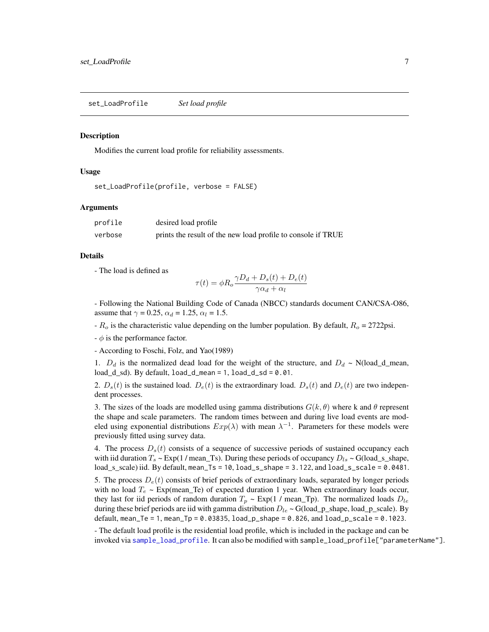<span id="page-6-0"></span>set\_LoadProfile *Set load profile*

#### **Description**

Modifies the current load profile for reliability assessments.

#### Usage

```
set_LoadProfile(profile, verbose = FALSE)
```
#### Arguments

| profile | desired load profile                                         |
|---------|--------------------------------------------------------------|
| verbose | prints the result of the new load profile to console if TRUE |

#### Details

- The load is defined as

$$
\tau(t) = \phi R_o \frac{\gamma D_d + D_s(t) + D_e(t)}{\gamma \alpha_d + \alpha_l}
$$

- Following the National Building Code of Canada (NBCC) standards document CAN/CSA-O86, assume that  $\gamma = 0.25$ ,  $\alpha_d = 1.25$ ,  $\alpha_l = 1.5$ .

 $-R<sub>o</sub>$  is the characteristic value depending on the lumber population. By default,  $R<sub>o</sub> = 2722$ psi.

 $-\phi$  is the performance factor.

- According to Foschi, Folz, and Yao(1989)

1.  $D_d$  is the normalized dead load for the weight of the structure, and  $D_d \sim N(\text{load\_d\_mean},$  $load_d_s$ d, By default,  $load_d_m$ ean = 1,  $load_d_s$ d = 0.01.

2.  $D_s(t)$  is the sustained load.  $D_e(t)$  is the extraordinary load.  $D_s(t)$  and  $D_e(t)$  are two independent processes.

3. The sizes of the loads are modelled using gamma distributions  $G(k, \theta)$  where k and  $\theta$  represent the shape and scale parameters. The random times between and during live load events are modeled using exponential distributions  $Exp(\lambda)$  with mean  $\lambda^{-1}$ . Parameters for these models were previously fitted using survey data.

4. The process  $D_s(t)$  consists of a sequence of successive periods of sustained occupancy each with iid duration  $T_s \sim \text{Exp}(1/\text{mean}\text{-}\text{Ts})$ . During these periods of occupancy  $D_{ls} \sim G(\text{load}\text{-}s\text{-}shape)$ ,  $load_s$  scale) iid. By default, mean  $Ts = 10$ ,  $load_s$  shape = 3.122, and  $load_s$  scale = 0.0481.

5. The process  $D_e(t)$  consists of brief periods of extraordinary loads, separated by longer periods with no load  $T_e \sim \text{Exp}(\text{mean\_Te})$  of expected duration 1 year. When extraordinary loads occur, they last for iid periods of random duration  $T_p \sim \text{Exp}(1 / \text{mean\_Tp})$ . The normalized loads  $D_{le}$ during these brief periods are iid with gamma distribution  $D_{le} \sim G(\text{load\_p\_shape}, \text{load\_p\_scale})$ . By default, mean\_Te = 1, mean\_Tp =  $0.03835$ , load\_p\_shape =  $0.826$ , and load\_p\_scale =  $0.1023$ .

- The default load profile is the residential load profile, which is included in the package and can be invoked via [sample\\_load\\_profile](#page-4-1). It can also be modified with sample\_load\_profile["parameterName"].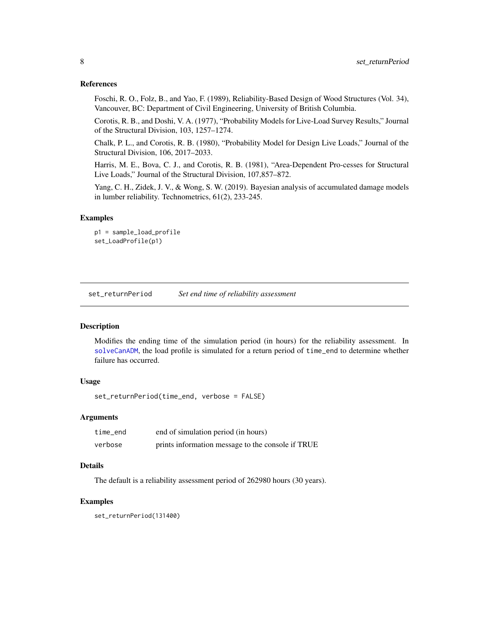#### <span id="page-7-0"></span>References

Foschi, R. O., Folz, B., and Yao, F. (1989), Reliability-Based Design of Wood Structures (Vol. 34), Vancouver, BC: Department of Civil Engineering, University of British Columbia.

Corotis, R. B., and Doshi, V. A. (1977), "Probability Models for Live-Load Survey Results," Journal of the Structural Division, 103, 1257–1274.

Chalk, P. L., and Corotis, R. B. (1980), "Probability Model for Design Live Loads," Journal of the Structural Division, 106, 2017–2033.

Harris, M. E., Bova, C. J., and Corotis, R. B. (1981), "Area-Dependent Pro-cesses for Structural Live Loads," Journal of the Structural Division, 107,857–872.

Yang, C. H., Zidek, J. V., & Wong, S. W. (2019). Bayesian analysis of accumulated damage models in lumber reliability. Technometrics, 61(2), 233-245.

#### Examples

```
p1 = sample_load_profile
set_LoadProfile(p1)
```
<span id="page-7-1"></span>set\_returnPeriod *Set end time of reliability assessment*

#### Description

Modifies the ending time of the simulation period (in hours) for the reliability assessment. In [solveCanADM](#page-10-1), the load profile is simulated for a return period of time\_end to determine whether failure has occurred.

### Usage

```
set_returnPeriod(time_end, verbose = FALSE)
```
#### **Arguments**

| time end | end of simulation period (in hours)               |
|----------|---------------------------------------------------|
| verbose  | prints information message to the console if TRUE |

# Details

The default is a reliability assessment period of 262980 hours (30 years).

#### Examples

set\_returnPeriod(131400)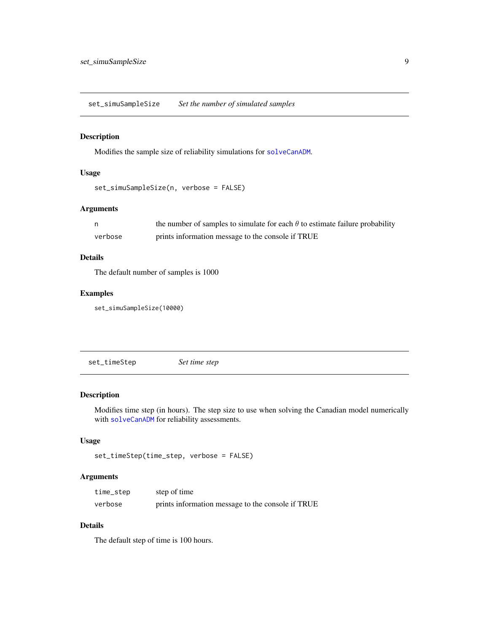<span id="page-8-2"></span><span id="page-8-0"></span>set\_simuSampleSize *Set the number of simulated samples*

# Description

Modifies the sample size of reliability simulations for [solveCanADM](#page-10-1).

#### Usage

```
set_simuSampleSize(n, verbose = FALSE)
```
# Arguments

|         | the number of samples to simulate for each $\theta$ to estimate failure probability |
|---------|-------------------------------------------------------------------------------------|
| verbose | prints information message to the console if TRUE                                   |

# Details

The default number of samples is 1000

# Examples

set\_simuSampleSize(10000)

<span id="page-8-1"></span>set\_timeStep *Set time step*

### Description

Modifies time step (in hours). The step size to use when solving the Canadian model numerically with [solveCanADM](#page-10-1) for reliability assessments.

### Usage

```
set_timeStep(time_step, verbose = FALSE)
```
# Arguments

| time_step | step of time                                      |
|-----------|---------------------------------------------------|
| verbose   | prints information message to the console if TRUE |

# Details

The default step of time is 100 hours.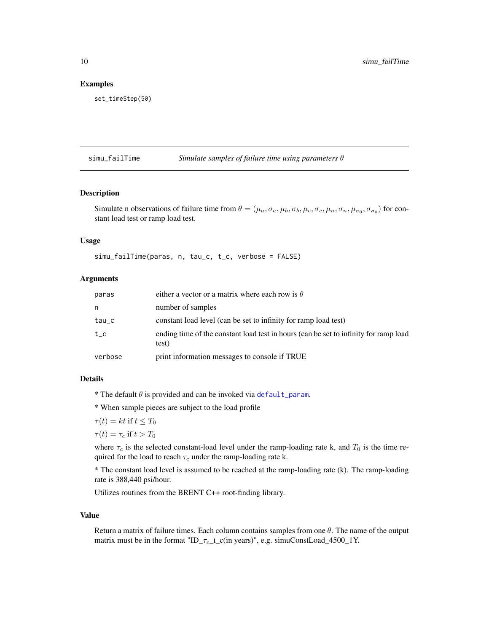#### Examples

```
set_timeStep(50)
```
simu\_failTime *Simulate samples of failure time using parameters* θ

# Description

Simulate n observations of failure time from  $\theta = (\mu_a, \sigma_a, \mu_b, \sigma_b, \mu_c, \sigma_c, \mu_n, \sigma_n, \mu_{\sigma_0}, \sigma_{\sigma_0})$  for constant load test or ramp load test.

# Usage

simu\_failTime(paras, n, tau\_c, t\_c, verbose = FALSE)

# Arguments

| paras                  | either a vector or a matrix where each row is $\theta$                                        |
|------------------------|-----------------------------------------------------------------------------------------------|
| n                      | number of samples                                                                             |
| $tau_{\texttt{au\_c}}$ | constant load level (can be set to infinity for ramp load test)                               |
| $t_{-}c$               | ending time of the constant load test in hours (can be set to infinity for ramp load<br>test) |
| verbose                | print information messages to console if TRUE                                                 |

#### Details

\* The default  $\theta$  is provided and can be invoked via [default\\_param](#page-3-1).

\* When sample pieces are subject to the load profile

$$
\tau(t) = kt \text{ if } t \leq T_0
$$

 $\tau(t) = \tau_c$  if  $t > T_0$ 

where  $\tau_c$  is the selected constant-load level under the ramp-loading rate k, and  $T_0$  is the time required for the load to reach  $\tau_c$  under the ramp-loading rate k.

\* The constant load level is assumed to be reached at the ramp-loading rate (k). The ramp-loading rate is 388,440 psi/hour.

Utilizes routines from the BRENT C++ root-finding library.

#### Value

Return a matrix of failure times. Each column contains samples from one  $\theta$ . The name of the output matrix must be in the format "ID\_ $\tau_c$ \_t\_c(in years)", e.g. simuConstLoad\_4500\_1Y.

<span id="page-9-0"></span>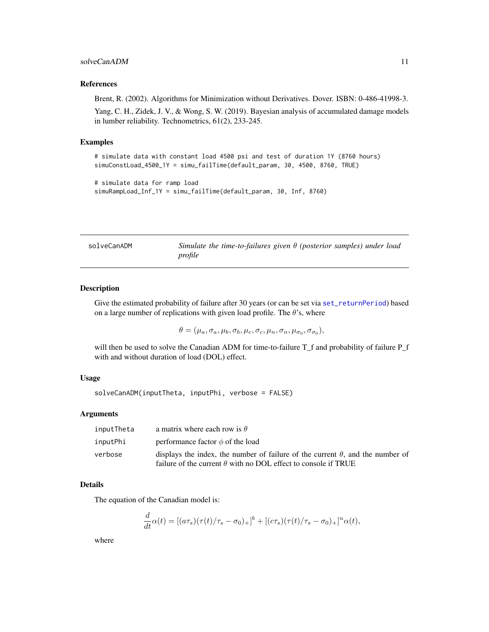#### <span id="page-10-0"></span>References

Brent, R. (2002). Algorithms for Minimization without Derivatives. Dover. ISBN: 0-486-41998-3.

Yang, C. H., Zidek, J. V., & Wong, S. W. (2019). Bayesian analysis of accumulated damage models in lumber reliability. Technometrics, 61(2), 233-245.

#### Examples

```
# simulate data with constant load 4500 psi and test of duration 1Y (8760 hours)
simuConstLoad_4500_1Y = simu_failTime(default_param, 30, 4500, 8760, TRUE)
```

```
# simulate data for ramp load
simuRampLoad_Inf_1Y = simu_failTime(default_param, 30, Inf, 8760)
```
<span id="page-10-1"></span>solveCanADM *Simulate the time-to-failures given* θ *(posterior samples) under load profile*

#### Description

Give the estimated probability of failure after 30 years (or can be set via [set\\_returnPeriod](#page-7-1)) based on a large number of replications with given load profile. The  $\theta$ 's, where

$$
\theta = (\mu_a, \sigma_a, \mu_b, \sigma_b, \mu_c, \sigma_c, \mu_n, \sigma_n, \mu_{\sigma_0}, \sigma_{\sigma_0}),
$$

will then be used to solve the Canadian ADM for time-to-failure T\_f and probability of failure P\_f with and without duration of load (DOL) effect.

# Usage

solveCanADM(inputTheta, inputPhi, verbose = FALSE)

#### Arguments

| inputTheta | a matrix where each row is $\theta$                                                                                                                            |
|------------|----------------------------------------------------------------------------------------------------------------------------------------------------------------|
| inputPhi   | performance factor $\phi$ of the load                                                                                                                          |
| verbose    | displays the index, the number of failure of the current $\theta$ , and the number of<br>failure of the current $\theta$ with no DOL effect to console if TRUE |

#### Details

The equation of the Canadian model is:

$$
\frac{d}{dt}\alpha(t) = [(a\tau_s)(\tau(t)/\tau_s - \sigma_0)_+]^b + [(c\tau_s)(\tau(t)/\tau_s - \sigma_0)_+]^n \alpha(t),
$$

where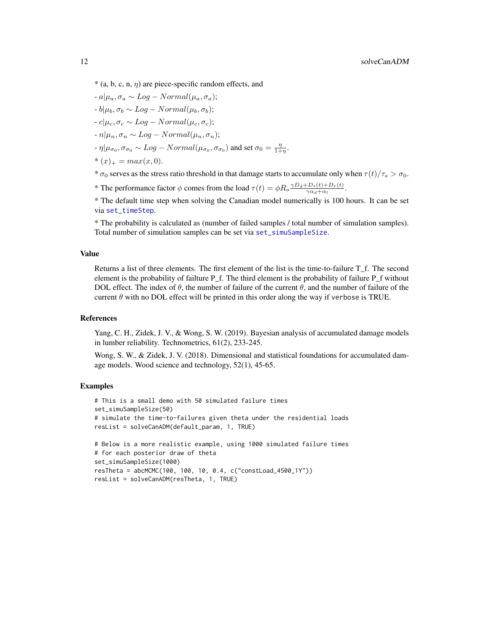<span id="page-11-0"></span> $-a|\mu_a, \sigma_a \sim Log - Normal(\mu_a, \sigma_a);$ 

 $-b|\mu_b, \sigma_b \sim Log - Normal(\mu_b, \sigma_b);$ 

 $-c|\mu_c, \sigma_c \sim Log - Normal(\mu_c, \sigma_c);$ 

 $-n|\mu_n, \sigma_n \sim Log - Normal(\mu_n, \sigma_n);$ 

 $-\eta|\mu_{\sigma_0}, \sigma_{\sigma_0} \sim Log-Normal(\mu_{\sigma_0}, \sigma_{\sigma_0})$  and set  $\sigma_0 = \frac{\eta}{1+\eta}$ .

\*  $(x)_+ = max(x, 0).$ 

```
* \sigma_0 serves as the stress ratio threshold in that damage starts to accumulate only when \tau(t)/\tau_s > \sigma_0.
```
\* The performance factor  $\phi$  comes from the load  $\tau(t) = \phi R_o \frac{\gamma D_d + D_s(t) + D_e(t)}{\gamma \alpha + \alpha}$  $\frac{\gamma_{B}(t)+D_e(t)}{\gamma_{\alpha_d}+\alpha_l}$ .

\* The default time step when solving the Canadian model numerically is 100 hours. It can be set via [set\\_timeStep](#page-8-1).

\* The probability is calculated as (number of failed samples / total number of simulation samples). Total number of simulation samples can be set via [set\\_simuSampleSize](#page-8-2).

#### Value

Returns a list of three elements. The first element of the list is the time-to-failure T\_f. The second element is the probability of failture  $P_f$ . The third element is the probability of failure  $P_f$  without DOL effect. The index of  $\theta$ , the number of failure of the current  $\theta$ , and the number of failure of the current  $\theta$  with no DOL effect will be printed in this order along the way if verbose is TRUE.

#### References

Yang, C. H., Zidek, J. V., & Wong, S. W. (2019). Bayesian analysis of accumulated damage models in lumber reliability. Technometrics, 61(2), 233-245.

Wong, S. W., & Zidek, J. V. (2018). Dimensional and statistical foundations for accumulated damage models. Wood science and technology, 52(1), 45-65.

# Examples

```
# This is a small demo with 50 simulated failure times
set_simuSampleSize(50)
# simulate the time-to-failures given theta under the residential loads
resList = solveCanADM(default_param, 1, TRUE)
# Below is a more realistic example, using 1000 simulated failure times
# for each posterior draw of theta
set_simuSampleSize(1000)
resTheta = abcMCMC(100, 100, 10, 0.4, c("constLoad_4500_1Y"))
resList = solveCanADM(resTheta, 1, TRUE)
```